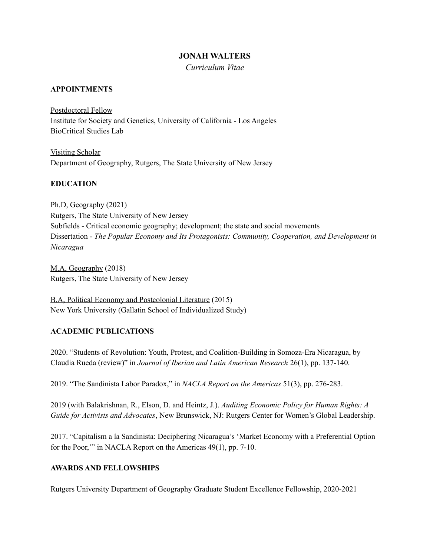### **JONAH WALTERS**

*Curriculum Vitae*

### **APPOINTMENTS**

Postdoctoral Fellow Institute for Society and Genetics, University of California - Los Angeles BioCritical Studies Lab

Visiting Scholar Department of Geography, Rutgers, The State University of New Jersey

### **EDUCATION**

Ph.D, Geography (2021) Rutgers, The State University of New Jersey Subfields - Critical economic geography; development; the state and social movements Dissertation - *The Popular Economy and Its Protagonists: Community, Cooperation, and Development in Nicaragua*

M.A, Geography (2018) Rutgers, The State University of New Jersey

B.A, Political Economy and Postcolonial Literature (2015) New York University (Gallatin School of Individualized Study)

#### **ACADEMIC PUBLICATIONS**

2020. "Students of Revolution: Youth, Protest, and Coalition-Building in Somoza-Era Nicaragua, by Claudia Rueda (review)" in *Journal of Iberian and Latin American Research* 26(1), pp. 137-140.

2019. "The Sandinista Labor Paradox," in *NACLA Report on the Americas* 51(3), pp. 276-283.

2019 (with Balakrishnan, R., Elson, D. and Heintz, J.). *Auditing Economic Policy for Human Rights: A Guide for Activists and Advocates*, New Brunswick, NJ: Rutgers Center for Women's Global Leadership.

2017. "Capitalism a la Sandinista: Deciphering Nicaragua's 'Market Economy with a Preferential Option for the Poor,'" in NACLA Report on the Americas 49(1), pp. 7-10.

#### **AWARDS AND FELLOWSHIPS**

Rutgers University Department of Geography Graduate Student Excellence Fellowship, 2020-2021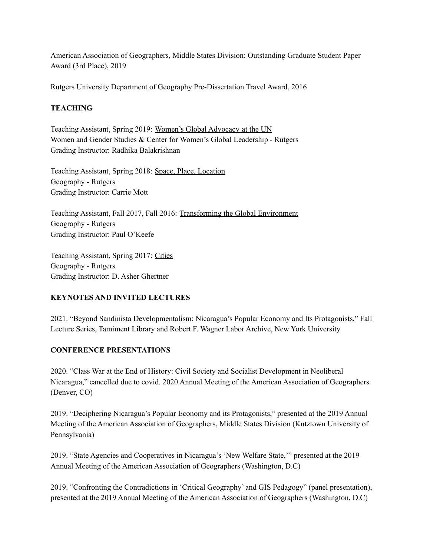American Association of Geographers, Middle States Division: Outstanding Graduate Student Paper Award (3rd Place), 2019

Rutgers University Department of Geography Pre-Dissertation Travel Award, 2016

# **TEACHING**

Teaching Assistant, Spring 2019: Women's Global Advocacy at the UN Women and Gender Studies & Center for Women's Global Leadership - Rutgers Grading Instructor: Radhika Balakrishnan

Teaching Assistant, Spring 2018: Space, Place, Location Geography - Rutgers Grading Instructor: Carrie Mott

Teaching Assistant, Fall 2017, Fall 2016: Transforming the Global Environment Geography - Rutgers Grading Instructor: Paul O'Keefe

Teaching Assistant, Spring 2017: Cities Geography - Rutgers Grading Instructor: D. Asher Ghertner

# **KEYNOTES AND INVITED LECTURES**

2021. "Beyond Sandinista Developmentalism: Nicaragua's Popular Economy and Its Protagonists," Fall Lecture Series, Tamiment Library and Robert F. Wagner Labor Archive, New York University

# **CONFERENCE PRESENTATIONS**

2020. "Class War at the End of History: Civil Society and Socialist Development in Neoliberal Nicaragua," cancelled due to covid. 2020 Annual Meeting of the American Association of Geographers (Denver, CO)

2019. "Deciphering Nicaragua's Popular Economy and its Protagonists," presented at the 2019 Annual Meeting of the American Association of Geographers, Middle States Division (Kutztown University of Pennsylvania)

2019. "State Agencies and Cooperatives in Nicaragua's 'New Welfare State,'" presented at the 2019 Annual Meeting of the American Association of Geographers (Washington, D.C)

2019. "Confronting the Contradictions in 'Critical Geography' and GIS Pedagogy" (panel presentation), presented at the 2019 Annual Meeting of the American Association of Geographers (Washington, D.C)